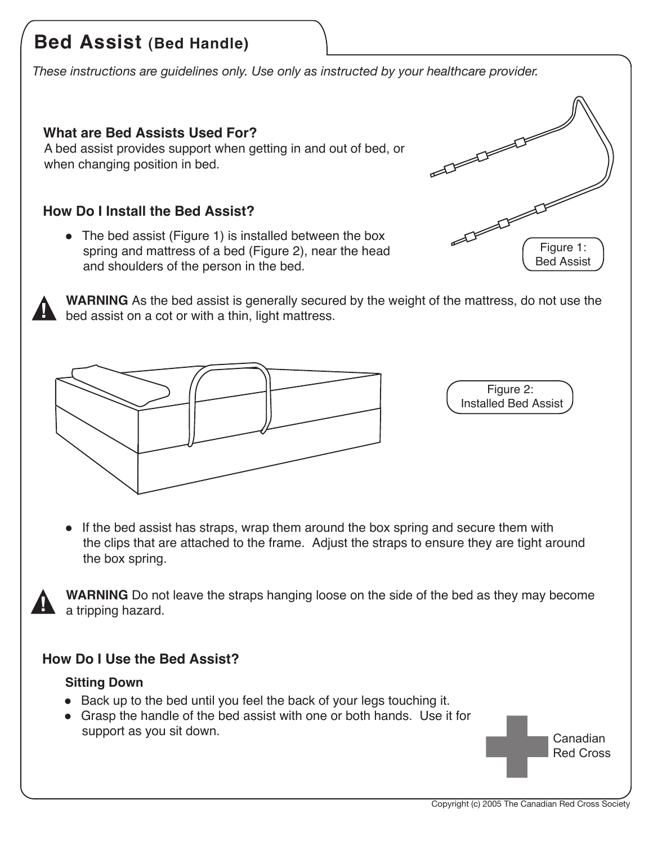# **Bed Assist (Bed Handle)**

*These instructions are guidelines only. Use only as instructed by your healthcare provider.*

## **What are Bed Assists Used For?**

A bed assist provides support when getting in and out of bed, or when changing position in bed.

## **How Do I Install the Bed Assist?**

• The bed assist (Figure 1) is installed between the box spring and mattress of a bed (Figure 2), near the head and shoulders of the person in the bed.

 $\begin{picture}(20,20) \put(0,0){\line(1,0){10}} \put(15,0){\line(1,0){10}} \put(15,0){\line(1,0){10}} \put(15,0){\line(1,0){10}} \put(15,0){\line(1,0){10}} \put(15,0){\line(1,0){10}} \put(15,0){\line(1,0){10}} \put(15,0){\line(1,0){10}} \put(15,0){\line(1,0){10}} \put(15,0){\line(1,0){10}} \put(15,0){\line(1,0){10}} \put(15,0){\line(1$  $F = \frac{1}{\sqrt{\frac{1}{1.5}} \cdot \frac{1}{\sqrt{1.5}} \cdot \frac{1}{\sqrt{1.5}} \cdot \frac{1}{\sqrt{1.5}}$ Bed Assist



**WARNING** As the bed assist is generally secured by the weight of the mattress, do not use the **bed assist on a cot or with a thin, light mattress.** 



Figure 2: Installed Bed Assist

• If the bed assist has straps, wrap them around the box spring and secure them with the clips that are attached to the frame. Adjust the straps to ensure they are tight around the box spring.

**WARNING** Do not leave the straps hanging loose on the side of the bed as they may become a tripping hazard.

## **How Do I Use the Bed Assist?**

#### **Sitting Down**

- $\bullet$  Back up to the bed until you feel the back of your legs touching it.
- Grasp the handle of the bed assist with one or both hands. Use it for support as you sit down.

Canadian Red Cross